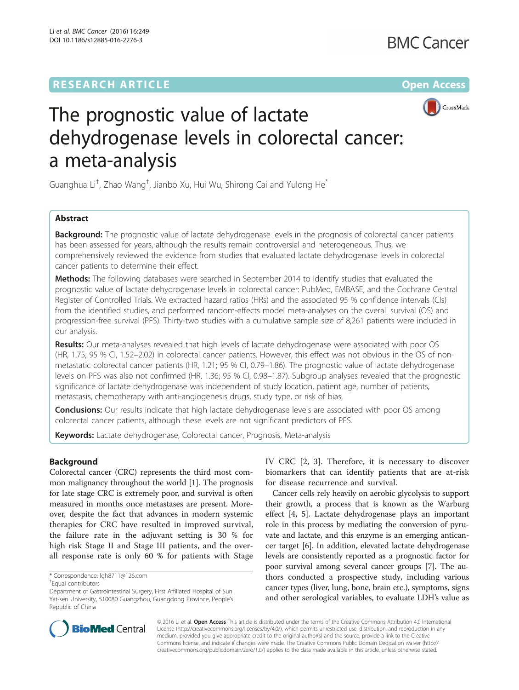# **RESEARCH ARTICLE Example 2018 12:00 Department of the Contract Open Access**



# The prognostic value of lactate dehydrogenase levels in colorectal cancer: a meta-analysis

Guanghua Li $^\dagger$ , Zhao Wang $^\dagger$ , Jianbo Xu, Hui Wu, Shirong Cai and Yulong He $^*$ 

# Abstract

**Background:** The prognostic value of lactate dehydrogenase levels in the prognosis of colorectal cancer patients has been assessed for years, although the results remain controversial and heterogeneous. Thus, we comprehensively reviewed the evidence from studies that evaluated lactate dehydrogenase levels in colorectal cancer patients to determine their effect.

Methods: The following databases were searched in September 2014 to identify studies that evaluated the prognostic value of lactate dehydrogenase levels in colorectal cancer: PubMed, EMBASE, and the Cochrane Central Register of Controlled Trials. We extracted hazard ratios (HRs) and the associated 95 % confidence intervals (CIs) from the identified studies, and performed random-effects model meta-analyses on the overall survival (OS) and progression-free survival (PFS). Thirty-two studies with a cumulative sample size of 8,261 patients were included in our analysis.

Results: Our meta-analyses revealed that high levels of lactate dehydrogenase were associated with poor OS (HR, 1.75; 95 % CI, 1.52–2.02) in colorectal cancer patients. However, this effect was not obvious in the OS of nonmetastatic colorectal cancer patients (HR, 1.21; 95 % CI, 0.79–1.86). The prognostic value of lactate dehydrogenase levels on PFS was also not confirmed (HR, 1.36; 95 % CI, 0.98–1.87). Subgroup analyses revealed that the prognostic significance of lactate dehydrogenase was independent of study location, patient age, number of patients, metastasis, chemotherapy with anti-angiogenesis drugs, study type, or risk of bias.

**Conclusions:** Our results indicate that high lactate dehydrogenase levels are associated with poor OS among colorectal cancer patients, although these levels are not significant predictors of PFS.

Keywords: Lactate dehydrogenase, Colorectal cancer, Prognosis, Meta-analysis

# Background

Colorectal cancer (CRC) represents the third most common malignancy throughout the world [\[1\]](#page-6-0). The prognosis for late stage CRC is extremely poor, and survival is often measured in months once metastases are present. Moreover, despite the fact that advances in modern systemic therapies for CRC have resulted in improved survival, the failure rate in the adjuvant setting is 30 % for high risk Stage II and Stage III patients, and the overall response rate is only 60 % for patients with Stage

Equal contributors

IV CRC [[2, 3\]](#page-6-0). Therefore, it is necessary to discover biomarkers that can identify patients that are at-risk for disease recurrence and survival.

Cancer cells rely heavily on aerobic glycolysis to support their growth, a process that is known as the Warburg effect [\[4](#page-6-0), [5](#page-6-0)]. Lactate dehydrogenase plays an important role in this process by mediating the conversion of pyruvate and lactate, and this enzyme is an emerging anticancer target [\[6\]](#page-7-0). In addition, elevated lactate dehydrogenase levels are consistently reported as a prognostic factor for poor survival among several cancer groups [\[7\]](#page-7-0). The authors conducted a prospective study, including various cancer types (liver, lung, bone, brain etc.), symptoms, signs and other serological variables, to evaluate LDH's value as



© 2016 Li et al. Open Access This article is distributed under the terms of the Creative Commons Attribution 4.0 International License ([http://creativecommons.org/licenses/by/4.0/\)](http://creativecommons.org/licenses/by/4.0/), which permits unrestricted use, distribution, and reproduction in any medium, provided you give appropriate credit to the original author(s) and the source, provide a link to the Creative Commons license, and indicate if changes were made. The Creative Commons Public Domain Dedication waiver ([http://](http://creativecommons.org/publicdomain/zero/1.0/) [creativecommons.org/publicdomain/zero/1.0/\)](http://creativecommons.org/publicdomain/zero/1.0/) applies to the data made available in this article, unless otherwise stated.

<sup>\*</sup> Correspondence: [lgh8711@126.com](mailto:lgh8711@126.com) †

Department of Gastrointestinal Surgery, First Affiliated Hospital of Sun Yat-sen University, 510080 Guangzhou, Guangdong Province, People's Republic of China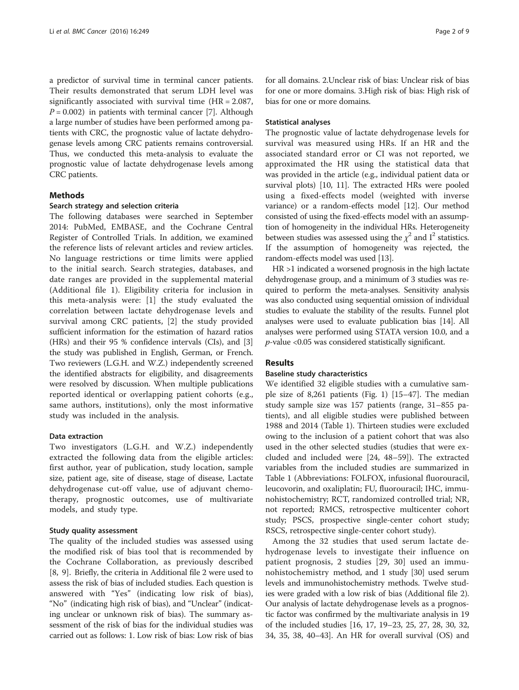a predictor of survival time in terminal cancer patients. Their results demonstrated that serum LDH level was significantly associated with survival time (HR = 2.087,  $P = 0.002$ ) in patients with terminal cancer [\[7](#page-7-0)]. Although a large number of studies have been performed among patients with CRC, the prognostic value of lactate dehydrogenase levels among CRC patients remains controversial. Thus, we conducted this meta-analysis to evaluate the prognostic value of lactate dehydrogenase levels among CRC patients.

#### Methods

#### Search strategy and selection criteria

The following databases were searched in September 2014: PubMed, EMBASE, and the Cochrane Central Register of Controlled Trials. In addition, we examined the reference lists of relevant articles and review articles. No language restrictions or time limits were applied to the initial search. Search strategies, databases, and date ranges are provided in the supplemental material (Additional file [1](#page-6-0)). Eligibility criteria for inclusion in this meta-analysis were: [[1\]](#page-6-0) the study evaluated the correlation between lactate dehydrogenase levels and survival among CRC patients, [\[2](#page-6-0)] the study provided sufficient information for the estimation of hazard ratios (HRs) and their 95 % confidence intervals (CIs), and [[3](#page-6-0)] the study was published in English, German, or French. Two reviewers (L.G.H. and W.Z.) independently screened the identified abstracts for eligibility, and disagreements were resolved by discussion. When multiple publications reported identical or overlapping patient cohorts (e.g., same authors, institutions), only the most informative study was included in the analysis.

#### Data extraction

Two investigators (L.G.H. and W.Z.) independently extracted the following data from the eligible articles: first author, year of publication, study location, sample size, patient age, site of disease, stage of disease, Lactate dehydrogenase cut-off value, use of adjuvant chemotherapy, prognostic outcomes, use of multivariate models, and study type.

#### Study quality assessment

The quality of the included studies was assessed using the modified risk of bias tool that is recommended by the Cochrane Collaboration, as previously described [[8, 9](#page-7-0)]. Briefly, the criteria in Additional file [2](#page-6-0) were used to assess the risk of bias of included studies. Each question is answered with "Yes" (indicating low risk of bias), "No" (indicating high risk of bias), and "Unclear" (indicating unclear or unknown risk of bias). The summary assessment of the risk of bias for the individual studies was carried out as follows: 1. Low risk of bias: Low risk of bias

for all domains. 2.Unclear risk of bias: Unclear risk of bias for one or more domains. 3.High risk of bias: High risk of bias for one or more domains.

#### Statistical analyses

The prognostic value of lactate dehydrogenase levels for survival was measured using HRs. If an HR and the associated standard error or CI was not reported, we approximated the HR using the statistical data that was provided in the article (e.g., individual patient data or survival plots) [\[10, 11\]](#page-7-0). The extracted HRs were pooled using a fixed-effects model (weighted with inverse variance) or a random-effects model [[12](#page-7-0)]. Our method consisted of using the fixed-effects model with an assumption of homogeneity in the individual HRs. Heterogeneity between studies was assessed using the  $\chi^2$  and  $I^2$  statistics. If the assumption of homogeneity was rejected, the random-effects model was used [\[13\]](#page-7-0).

HR >1 indicated a worsened prognosis in the high lactate dehydrogenase group, and a minimum of 3 studies was required to perform the meta-analyses. Sensitivity analysis was also conducted using sequential omission of individual studies to evaluate the stability of the results. Funnel plot analyses were used to evaluate publication bias [[14](#page-7-0)]. All analyses were performed using STATA version 10.0, and a  $p$ -value <0.05 was considered statistically significant.

#### Results

#### Baseline study characteristics

We identified 32 eligible studies with a cumulative sample size of 8,261 patients (Fig. [1](#page-2-0)) [[15](#page-7-0)–[47](#page-7-0)]. The median study sample size was 157 patients (range, 31–855 patients), and all eligible studies were published between 1988 and 2014 (Table [1\)](#page-3-0). Thirteen studies were excluded owing to the inclusion of a patient cohort that was also used in the other selected studies (studies that were excluded and included were [\[24,](#page-7-0) [48](#page-8-0)–[59](#page-8-0)]). The extracted variables from the included studies are summarized in Table [1](#page-3-0) (Abbreviations: FOLFOX, infusional fluorouracil, leucovorin, and oxaliplatin; FU, fluorouracil; IHC, immunohistochemistry; RCT, randomized controlled trial; NR, not reported; RMCS, retrospective multicenter cohort study; PSCS, prospective single-center cohort study; RSCS, retrospective single-center cohort study).

Among the 32 studies that used serum lactate dehydrogenase levels to investigate their influence on patient prognosis, 2 studies [[29, 30](#page-7-0)] used an immunohistochemistry method, and 1 study [[30](#page-7-0)] used serum levels and immunohistochemistry methods. Twelve studies were graded with a low risk of bias (Additional file [2](#page-6-0)). Our analysis of lactate dehydrogenase levels as a prognostic factor was confirmed by the multivariate analysis in 19 of the included studies [\[16](#page-7-0), [17](#page-7-0), [19](#page-7-0)–[23](#page-7-0), [25](#page-7-0), [27, 28, 30](#page-7-0), [32](#page-7-0), [34](#page-7-0), [35](#page-7-0), [38, 40](#page-7-0)–[43](#page-7-0)]. An HR for overall survival (OS) and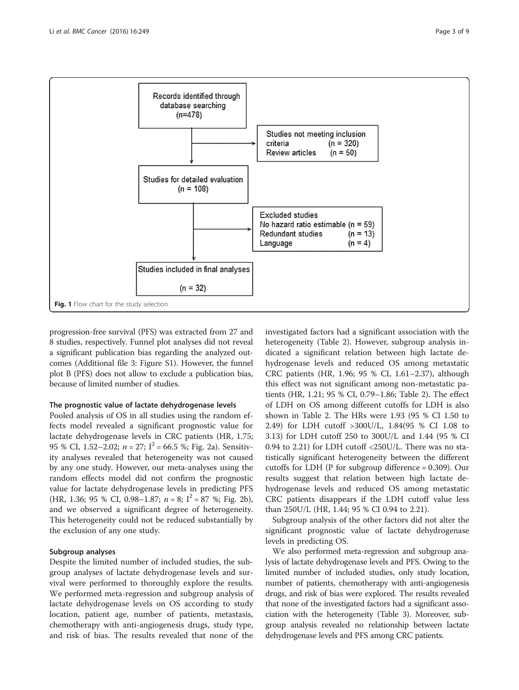<span id="page-2-0"></span>

progression-free survival (PFS) was extracted from 27 and 8 studies, respectively. Funnel plot analyses did not reveal a significant publication bias regarding the analyzed outcomes (Additional file [3](#page-6-0): Figure S1). However, the funnel plot B (PFS) does not allow to exclude a publication bias, because of limited number of studies.

#### The prognostic value of lactate dehydrogenase levels

Pooled analysis of OS in all studies using the random effects model revealed a significant prognostic value for lactate dehydrogenase levels in CRC patients (HR, 1.75; 95 % CI, 1.52–2.02;  $n = 27$ ;  $I^2 = 66.5$  %; Fig. [2a\)](#page-4-0). Sensitivity analyses revealed that heterogeneity was not caused by any one study. However, our meta-analyses using the random effects model did not confirm the prognostic value for lactate dehydrogenase levels in predicting PFS (HR, 1.36; 95 % CI, 0.98–1.87;  $n = 8$ ;  $I^2 = 87$  %; Fig. [2b](#page-4-0)), and we observed a significant degree of heterogeneity. This heterogeneity could not be reduced substantially by the exclusion of any one study.

#### Subgroup analyses

Despite the limited number of included studies, the subgroup analyses of lactate dehydrogenase levels and survival were performed to thoroughly explore the results. We performed meta-regression and subgroup analysis of lactate dehydrogenase levels on OS according to study location, patient age, number of patients, metastasis, chemotherapy with anti-angiogenesis drugs, study type, and risk of bias. The results revealed that none of the

investigated factors had a significant association with the heterogeneity (Table [2](#page-5-0)). However, subgroup analysis indicated a significant relation between high lactate dehydrogenase levels and reduced OS among metastatic CRC patients (HR, 1.96; 95 % CI, 1.61–2.37), although this effect was not significant among non-metastatic patients (HR, 1.21; 95 % CI, 0.79–1.86; Table [2\)](#page-5-0). The effect of LDH on OS among different cutoffs for LDH is also shown in Table [2.](#page-5-0) The HRs were 1.93 (95 % CI 1.50 to 2.49) for LDH cutoff >300U/L, 1.84(95 % CI 1.08 to 3.13) for LDH cutoff 250 to 300U/L and 1.44 (95 % CI 0.94 to 2.21) for LDH cutoff <250U/L. There was no statistically significant heterogeneity between the different cutoffs for LDH (P for subgroup difference = 0.309). Our results suggest that relation between high lactate dehydrogenase levels and reduced OS among metastatic CRC patients disappears if the LDH cutoff value less than 250U/L (HR, 1.44; 95 % CI 0.94 to 2.21).

Subgroup analysis of the other factors did not alter the significant prognostic value of lactate dehydrogenase levels in predicting OS.

We also performed meta-regression and subgroup analysis of lactate dehydrogenase levels and PFS. Owing to the limited number of included studies, only study location, number of patients, chemotherapy with anti-angiogenesis drugs, and risk of bias were explored. The results revealed that none of the investigated factors had a significant association with the heterogeneity (Table [3\)](#page-6-0). Moreover, subgroup analysis revealed no relationship between lactate dehydrogenase levels and PFS among CRC patients.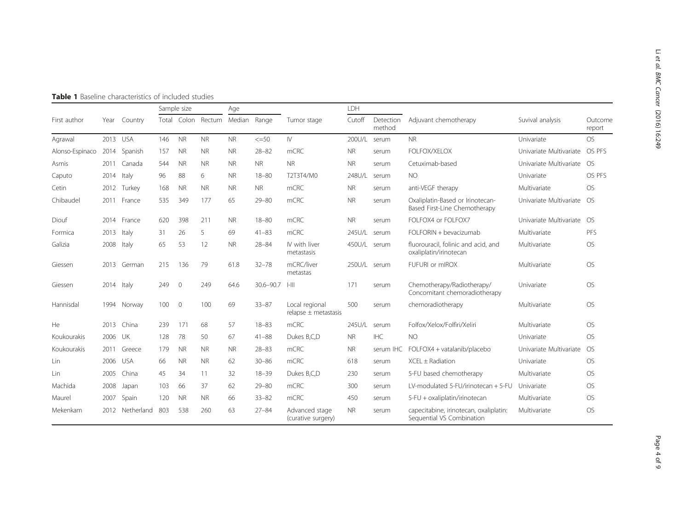<span id="page-3-0"></span>

| <b>Table 1</b> Baseline characteristics of included studies |  |
|-------------------------------------------------------------|--|
|-------------------------------------------------------------|--|

| First author    | Year     | Country     | Sample size |                |                           | Age       |               |                                            | LDH          |                     |                                                                     |                         |                   |
|-----------------|----------|-------------|-------------|----------------|---------------------------|-----------|---------------|--------------------------------------------|--------------|---------------------|---------------------------------------------------------------------|-------------------------|-------------------|
|                 |          |             | Total       |                | Colon Rectum Median Range |           |               | Tumor stage                                | Cutoff       | Detection<br>method | Adjuvant chemotherapy                                               | Suvival analysis        | Outcome<br>report |
| Agrawal         | 2013 USA |             | 146         | <b>NR</b>      | <b>NR</b>                 | <b>NR</b> | $\leq 50$     | $\mathsf{IV}$                              | 200U/L       | serum               | <b>NR</b>                                                           | Univariate              | <b>OS</b>         |
| Alonso-Espinaco | 2014     | Spanish     | 157         | <b>NR</b>      | <b>NR</b>                 | <b>NR</b> | $28 - 82$     | mCRC                                       | <b>NR</b>    | serum               | FOLFOX/XELOX                                                        | Univariate Multivariate | OS PES            |
| Asmis           | 2011     | Canada      | 544         | <b>NR</b>      | <b>NR</b>                 | <b>NR</b> | <b>NR</b>     | <b>NR</b>                                  | <b>NR</b>    | serum               | Cetuximab-based                                                     | Univariate Multivariate | - OS              |
| Caputo          | 2014     | Italy       | 96          | 88             | 6                         | <b>NR</b> | $18 - 80$     | T2T3T4/M0                                  | 248U/L       | serum               | N <sub>O</sub>                                                      | Univariate              | OS PFS            |
| Cetin           | 2012     | Turkey      | 168         | <b>NR</b>      | <b>NR</b>                 | <b>NR</b> | <b>NR</b>     | mCRC                                       | <b>NR</b>    | serum               | anti-VEGF therapy                                                   | Multivariate            | <b>OS</b>         |
| Chibaudel       | 2011     | France      | 535         | 349            | 177                       | 65        | $29 - 80$     | <b>mCRC</b>                                | <b>NR</b>    | serum               | Oxaliplatin-Based or Irinotecan-<br>Based First-Line Chemotherapy   | Univariate Multivariate | <b>OS</b>         |
| Diouf           |          | 2014 France | 620         | 398            | 211                       | <b>NR</b> | $18 - 80$     | mCRC                                       | <b>NR</b>    | serum               | FOLFOX4 or FOLFOX7                                                  | Univariate Multivariate | OS.               |
| Formica         | 2013     | Italy       | 31          | 26             | 5                         | 69        | $41 - 83$     | <b>mCRC</b>                                | 245U/L       | serum               | FOLFORIN + bevacizumab                                              | Multivariate            | PFS               |
| Galizia         | 2008     | Italy       | 65          | 53             | 12                        | <b>NR</b> | $28 - 84$     | IV with liver<br>metastasis                | 450U/L       | serum               | fluorouracil, folinic and acid, and<br>oxaliplatin/irinotecan       | Multivariate            | <b>OS</b>         |
| Giessen         | 2013     | German      | 215         | 136            | 79                        | 61.8      | $32 - 78$     | mCRC/liver<br>metastas                     | 250U/L serum |                     | FUFURI or mIROX                                                     | Multivariate            | <b>OS</b>         |
| Giessen         | 2014     | Italy       | 249         | $\overline{0}$ | 249                       | 64.6      | $30.6 - 90.7$ | $ -   $                                    | 171          | serum               | Chemotherapy/Radiotherapy/<br>Concomitant chemoradiotherapy         | Univariate              | <b>OS</b>         |
| Hannisdal       | 1994     | Norway      | 100         | $\circ$        | 100                       | 69        | $33 - 87$     | Local regional<br>relapse $\pm$ metastasis | 500          | serum               | chemoradiotherapy                                                   | Multivariate            | <b>OS</b>         |
| He              | 2013     | China       | 239         | 171            | 68                        | 57        | $18 - 83$     | <b>mCRC</b>                                | 245U/L       | serum               | Folfox/Xelox/Folfiri/Xeliri                                         | Multivariate            | <b>OS</b>         |
| Koukourakis     | 2006 UK  |             | 128         | 78             | 50                        | 67        | $41 - 88$     | Dukes B,C,D                                | <b>NR</b>    | <b>IHC</b>          | <b>NO</b>                                                           | Univariate              | <b>OS</b>         |
| Koukourakis     | 2011     | Greece      | 179         | <b>NR</b>      | <b>NR</b>                 | <b>NR</b> | $28 - 83$     | mCRC                                       | <b>NR</b>    | serum IHC           | FOLFOX4 + vatalanib/placebo                                         | Univariate Multivariate | <b>OS</b>         |
| l in            | 2006     | <b>USA</b>  | 66          | <b>NR</b>      | <b>NR</b>                 | 62        | $30 - 86$     | mCRC                                       | 618          | serum               | $XCEL \pm Radiation$                                                | Univariate              | <b>OS</b>         |
| $\mathsf{lin}$  | 2005     | China       | 45          | 34             | 11                        | 32        | $18 - 39$     | Dukes B,C,D                                | 230          | serum               | 5-FU based chemotherapy                                             | Multivariate            | <b>OS</b>         |
| Machida         | 2008     | Japan       | 103         | 66             | 37                        | 62        | $29 - 80$     | <b>mCRC</b>                                | 300          | serum               | LV-modulated 5-FU/irinotecan + 5-FU                                 | Univariate              | <b>OS</b>         |
| Maurel          | 2007     | Spain       | 120         | <b>NR</b>      | <b>NR</b>                 | 66        | $33 - 82$     | <b>mCRC</b>                                | 450          | serum               | 5-FU + oxaliplatin/irinotecan                                       | Multivariate            | <b>OS</b>         |
| Mekenkam        | 2012     | Netherland  | 803         | 538            | 260                       | 63        | $27 - 84$     | Advanced stage<br>(curative surgery)       | <b>NR</b>    | serum               | capecitabine, irinotecan, oxaliplatin:<br>Sequential VS Combination | Multivariate            | <b>OS</b>         |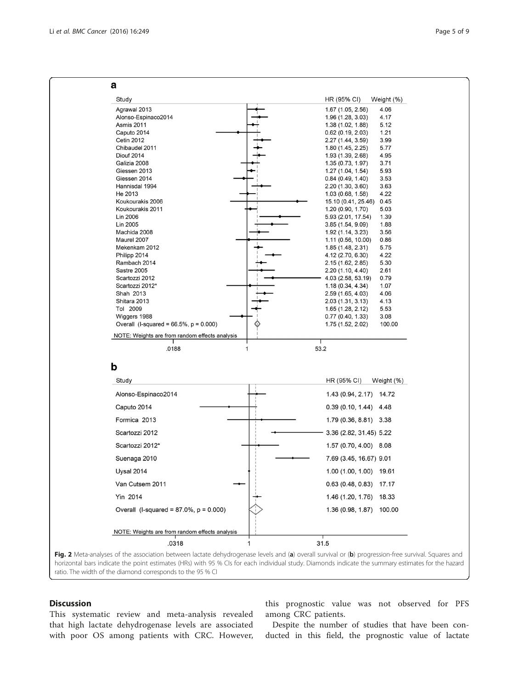<span id="page-4-0"></span>

#### Discussion

This systematic review and meta-analysis revealed that high lactate dehydrogenase levels are associated with poor OS among patients with CRC. However,

this prognostic value was not observed for PFS among CRC patients.

Despite the number of studies that have been conducted in this field, the prognostic value of lactate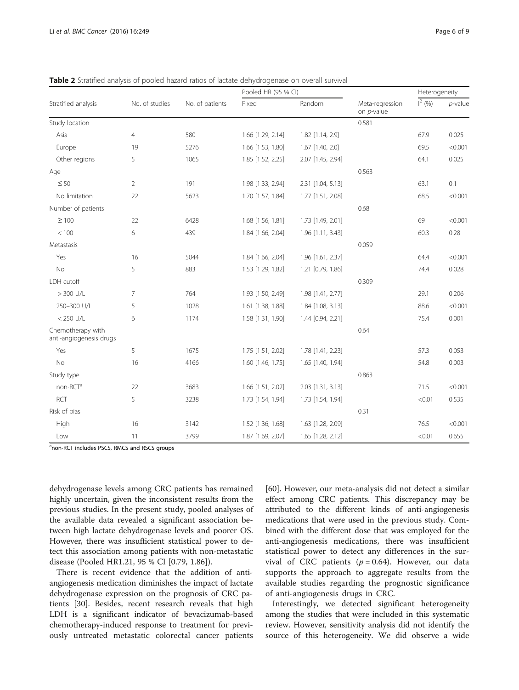|                                              |                |                 | Pooled HR (95 % CI) |                   |                                       | Heterogeneity |            |
|----------------------------------------------|----------------|-----------------|---------------------|-------------------|---------------------------------------|---------------|------------|
| Stratified analysis                          | No. of studies | No. of patients | Fixed               | Random            | Meta-regression<br>on <i>p</i> -value | $1^2$ (%)     | $p$ -value |
| Study location                               |                |                 |                     |                   | 0.581                                 |               |            |
| Asia                                         | $\overline{4}$ | 580             | 1.66 [1.29, 2.14]   | 1.82 [1.14, 2.9]  |                                       | 67.9          | 0.025      |
| Europe                                       | 19             | 5276            | 1.66 [1.53, 1.80]   | 1.67 [1.40, 2.0]  |                                       | 69.5          | < 0.001    |
| Other regions                                | 5              | 1065            | 1.85 [1.52, 2.25]   | 2.07 [1.45, 2.94] |                                       | 64.1          | 0.025      |
| Age                                          |                |                 |                     |                   | 0.563                                 |               |            |
| $\leq 50$                                    | $\overline{2}$ | 191             | 1.98 [1.33, 2.94]   | 2.31 [1.04, 5.13] |                                       | 63.1          | 0.1        |
| No limitation                                | 22             | 5623            | 1.70 [1.57, 1.84]   | 1.77 [1.51, 2.08] |                                       | 68.5          | < 0.001    |
| Number of patients                           |                |                 |                     |                   | 0.68                                  |               |            |
| $\geq 100$                                   | 22             | 6428            | 1.68 [1.56, 1.81]   | 1.73 [1.49, 2.01] |                                       | 69            | < 0.001    |
| < 100                                        | 6              | 439             | 1.84 [1.66, 2.04]   | 1.96 [1.11, 3.43] |                                       | 60.3          | 0.28       |
| Metastasis                                   |                |                 |                     |                   | 0.059                                 |               |            |
| Yes                                          | 16             | 5044            | 1.84 [1.66, 2.04]   | 1.96 [1.61, 2.37] |                                       | 64.4          | < 0.001    |
| <b>No</b>                                    | 5              | 883             | 1.53 [1.29, 1.82]   | 1.21 [0.79, 1.86] |                                       | 74.4          | 0.028      |
| LDH cutoff                                   |                |                 |                     |                   | 0.309                                 |               |            |
| $> 300$ U/L                                  | $\overline{7}$ | 764             | 1.93 [1.50, 2.49]   | 1.98 [1.41, 2.77] |                                       | 29.1          | 0.206      |
| 250-300 U/L                                  | 5              | 1028            | 1.61 [1.38, 1.88]   | 1.84 [1.08, 3.13] |                                       | 88.6          | < 0.001    |
| $< 250$ U/L                                  | 6              | 1174            | 1.58 [1.31, 1.90]   | 1.44 [0.94, 2.21] |                                       | 75.4          | 0.001      |
| Chemotherapy with<br>anti-angiogenesis drugs |                |                 |                     |                   | 0.64                                  |               |            |
| Yes                                          | 5              | 1675            | 1.75 [1.51, 2.02]   | 1.78 [1.41, 2.23] |                                       | 57.3          | 0.053      |
| No                                           | 16             | 4166            | 1.60 [1.46, 1.75]   | 1.65 [1.40, 1.94] |                                       | 54.8          | 0.003      |
| Study type                                   |                |                 |                     |                   | 0.863                                 |               |            |
| non-RCT <sup>a</sup>                         | 22             | 3683            | 1.66 [1.51, 2.02]   | 2.03 [1.31, 3.13] |                                       | 71.5          | < 0.001    |
| <b>RCT</b>                                   | 5              | 3238            | 1.73 [1.54, 1.94]   | 1.73 [1.54, 1.94] |                                       | < 0.01        | 0.535      |
| Risk of bias                                 |                |                 |                     |                   | 0.31                                  |               |            |
| High                                         | 16             | 3142            | 1.52 [1.36, 1.68]   | 1.63 [1.28, 2.09] |                                       | 76.5          | < 0.001    |
| Low                                          | 11             | 3799            | 1.87 [1.69, 2.07]   | 1.65 [1.28, 2.12] |                                       | < 0.01        | 0.655      |

<span id="page-5-0"></span>Table 2 Stratified analysis of pooled hazard ratios of lactate dehydrogenase on overall survival

<sup>a</sup>non-RCT includes PSCS, RMCS and RSCS groups

dehydrogenase levels among CRC patients has remained highly uncertain, given the inconsistent results from the previous studies. In the present study, pooled analyses of the available data revealed a significant association between high lactate dehydrogenase levels and poorer OS. However, there was insufficient statistical power to detect this association among patients with non-metastatic disease (Pooled HR1.21, 95 % CI [0.79, 1.86]).

There is recent evidence that the addition of antiangiogenesis medication diminishes the impact of lactate dehydrogenase expression on the prognosis of CRC patients [\[30\]](#page-7-0). Besides, recent research reveals that high LDH is a significant indicator of bevacizumab-based chemotherapy-induced response to treatment for previously untreated metastatic colorectal cancer patients

[[60\]](#page-8-0). However, our meta-analysis did not detect a similar effect among CRC patients. This discrepancy may be attributed to the different kinds of anti-angiogenesis medications that were used in the previous study. Combined with the different dose that was employed for the anti-angiogenesis medications, there was insufficient statistical power to detect any differences in the survival of CRC patients  $(p = 0.64)$ . However, our data supports the approach to aggregate results from the available studies regarding the prognostic significance of anti-angiogenesis drugs in CRC.

Interestingly, we detected significant heterogeneity among the studies that were included in this systematic review. However, sensitivity analysis did not identify the source of this heterogeneity. We did observe a wide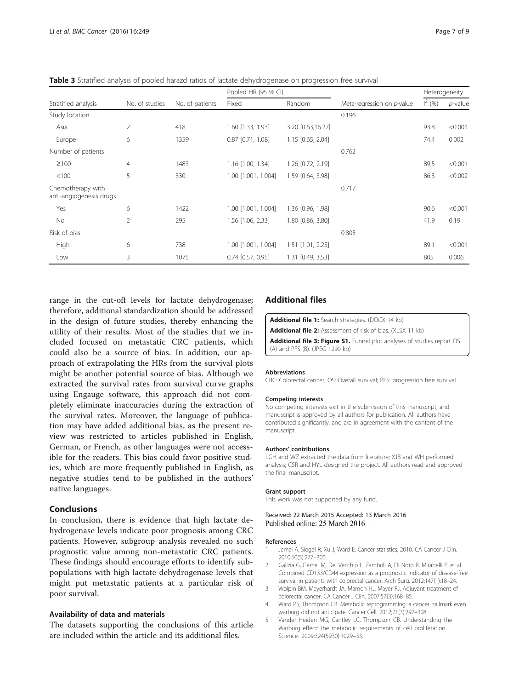<span id="page-6-0"></span>**Table 3** Stratified analysis of pooled harazd ratios of lactate dehydrogenase on progression free survival

|                                              |                |                 | Pooled HR (95 % CI) |                   |                            | Heterogeneity |         |
|----------------------------------------------|----------------|-----------------|---------------------|-------------------|----------------------------|---------------|---------|
| Stratified analysis                          | No. of studies | No. of patients | Fixed               | Random            | Meta-regression on p-value | $I^2(96)$     | p-value |
| Study location                               |                |                 |                     |                   | 0.196                      |               |         |
| Asia                                         | 2              | 418             | 1.60 [1.33, 1.93]   | 3.20 [0.63,16.27] |                            | 93.8          | < 0.001 |
| Europe                                       | 6              | 1359            | $0.87$ [0.71, 1.08] | 1.15 [0.65, 2.04] |                            | 74.4          | 0.002   |
| Number of patients                           |                |                 |                     |                   | 0.762                      |               |         |
| $\geq 100$                                   | 4              | 1483            | 1.16 [1.00, 1.34]   | 1.26 [0.72, 2.19] |                            | 89.5          | < 0.001 |
| < 100                                        | 5              | 330             | 1.00 [1.001, 1.004] | 1.59 [0.64, 3.98] |                            | 86.3          | < 0.002 |
| Chemotherapy with<br>anti-angiogenesis drugs |                |                 |                     |                   | 0.717                      |               |         |
| Yes                                          | 6              | 1422            | 1.00 [1.001, 1.004] | 1.36 [0.96, 1.98] |                            | 90.6          | < 0.001 |
| No.                                          | $\overline{2}$ | 295             | 1.56 [1.06, 2.33]   | 1.80 [0.86, 3.80] |                            | 41.9          | 0.19    |
| Risk of bias                                 |                |                 |                     |                   | 0.805                      |               |         |
| High                                         | 6              | 738             | 1.00 [1.001, 1.004] | 1.51 [1.01, 2.25] |                            | 89.1          | < 0.001 |
| Low                                          | 3              | 1075            | $0.74$ [0.57, 0.95] | 1.31 [0.49, 3.53] |                            | 805           | 0.006   |

range in the cut-off levels for lactate dehydrogenase; therefore, additional standardization should be addressed in the design of future studies, thereby enhancing the utility of their results. Most of the studies that we included focused on metastatic CRC patients, which could also be a source of bias. In addition, our approach of extrapolating the HRs from the survival plots might be another potential source of bias. Although we extracted the survival rates from survival curve graphs using Engauge software, this approach did not completely eliminate inaccuracies during the extraction of the survival rates. Moreover, the language of publication may have added additional bias, as the present review was restricted to articles published in English, German, or French, as other languages were not accessible for the readers. This bias could favor positive studies, which are more frequently published in English, as negative studies tend to be published in the authors' native languages.

### Conclusions

In conclusion, there is evidence that high lactate dehydrogenase levels indicate poor prognosis among CRC patients. However, subgroup analysis revealed no such prognostic value among non-metastatic CRC patients. These findings should encourage efforts to identify subpopulations with high lactate dehydrogenase levels that might put metastatic patients at a particular risk of poor survival.

#### Availability of data and materials

The datasets supporting the conclusions of this article are included within the article and its additional files.

# Additional files

[Additional file 1:](dx.doi.org/10.1186/s12885-016-2276-3) Search strategies. (DOCX 14 kb) [Additional file 2:](dx.doi.org/10.1186/s12885-016-2276-3) Assessment of risk of bias. (XLSX 11 kb) [Additional file 3: Figure S1.](dx.doi.org/10.1186/s12885-016-2276-3) Funnel plot analyses of studies report OS (A) and PFS (B). (JPEG 1290 kb)

#### Abbreviations

CRC: Colorectal cancer; OS: Overall survival; PFS: progression free survival.

#### Competing interests

No competing interests exit in the submission of this manuscript, and manuscript is approved by all authors for publication. All authors have contributed significantly, and are in agreement with the content of the manuscript.

#### Authors' contributions

LGH and WZ extracted the data from literature; XJB and WH performed analysis; CSR and HYL designed the project. All authors read and approved the final manuscript.

#### Grant support

This work was not supported by any fund.

Received: 22 March 2015 Accepted: 13 March 2016 Published online: 25 March 2016

#### References

- 1. Jemal A, Siegel R, Xu J, Ward E. Cancer statistics, 2010. CA Cancer J Clin. 2010;60(5):277–300.
- 2. Galizia G, Gemei M, Del Vecchio L, Zamboli A, Di Noto R, Mirabelli P, et al. Combined CD133/CD44 expression as a prognostic indicator of disease-free survival in patients with colorectal cancer. Arch Surg. 2012;147(1):18–24.
- 3. Wolpin BM, Meyerhardt JA, Mamon HJ, Mayer RJ. Adjuvant treatment of colorectal cancer. CA Cancer J Clin. 2007;57(3):168–85.
- 4. Ward PS, Thompson CB. Metabolic reprogramming: a cancer hallmark even warburg did not anticipate. Cancer Cell. 2012;21(3):297–308.
- 5. Vander Heiden MG, Cantley LC, Thompson CB. Understanding the Warburg effect: the metabolic requirements of cell proliferation. Science. 2009;324(5930):1029–33.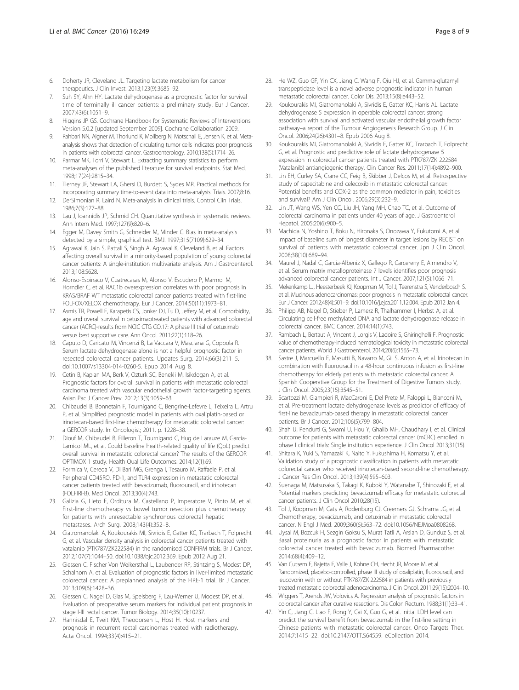- <span id="page-7-0"></span>6. Doherty JR, Cleveland JL. Targeting lactate metabolism for cancer therapeutics. J Clin Invest. 2013;123(9):3685–92.
- 7. Suh SY, Ahn HY. Lactate dehydrogenase as a prognostic factor for survival time of terminally ill cancer patients: a preliminary study. Eur J Cancer. 2007;43(6):1051–9.
- 8. Higgins JP GS. Cochrane Handbook for Systematic Reviews of Interventions Version 5.0.2 [updated September 2009]. Cochrane Collaboration 2009.
- 9. Rahbari NN, Aigner M, Thorlund K, Mollberg N, Motschall E, Jensen K, et al. Metaanalysis shows that detection of circulating tumor cells indicates poor prognosis in patients with colorectal cancer. Gastroenterology. 2010;138(5):1714–26.
- 10. Parmar MK, Torri V, Stewart L. Extracting summary statistics to perform meta-analyses of the published literature for survival endpoints. Stat Med. 1998;17(24):2815–34.
- 11. Tierney JF, Stewart LA, Ghersi D, Burdett S, Sydes MR. Practical methods for incorporating summary time-to-event data into meta-analysis. Trials. 2007;8:16.
- 12. DerSimonian R, Laird N. Meta-analysis in clinical trials. Control Clin Trials. 1986;7(3):177–88.
- 13. Lau J, Ioannidis JP, Schmid CH. Quantitative synthesis in systematic reviews. Ann Intern Med. 1997;127(9):820–6.
- 14. Egger M, Davey Smith G, Schneider M, Minder C. Bias in meta-analysis detected by a simple, graphical test. BMJ. 1997;315(7109):629–34.
- 15. Agrawal K, Jain S, Pattali S, Singh A, Agrawal K, Cleveland B, et al. Factors affecting overall survival in a minority-based population of young colorectal cancer patients: A single-institution multivariate analysis. Am J Gastroenterol. 2013;108:S628.
- 16. Alonso-Espinaco V, Cuatrecasas M, Alonso V, Escudero P, Marmol M, Horndler C, et al. RAC1b overexpression correlates with poor prognosis in KRAS/BRAF WT metastatic colorectal cancer patients treated with first-line FOLFOX/XELOX chemotherapy. Eur J Cancer. 2014;50(11):1973–81.
- 17. Asmis TR, Powell E, Karapetis CS, Jonker DJ, Tu D, Jeffery M, et al. Comorbidity, age and overall survival in cetuximabtreated patients with advanced colorectal cancer (ACRC)-results from NCIC CTG CO.17: A phase III trial of cetuximab versus best supportive care. Ann Oncol. 2011;22(1):118–26.
- 18. Caputo D, Caricato M, Vincenzi B, La Vaccara V, Masciana G, Coppola R. Serum lactate dehydrogenase alone is not a helpful prognostic factor in resected colorectal cancer patients. Updates Surg. 2014;66(3):211–5. doi[:10.1007/s13304-014-0260-5.](http://dx.doi.org/10.1007/s13304-014-0260-5) Epub 2014 Aug 8.
- 19. Cetin B, Kaplan MA, Berk V, Ozturk SC, Benekli M, Isikdogan A, et al. Prognostic factors for overall survival in patients with metastatic colorectal carcinoma treated with vascular endothelial growth factor-targeting agents. Asian Pac J Cancer Prev. 2012;13(3):1059–63.
- 20. Chibaudel B, Bonnetain F, Tournigand C, Bengrine-Lefevre L, Teixeira L, Artru P, et al. Simplified prognostic model in patients with oxaliplatin-based or irinotecan-based first-line chemotherapy for metastatic colorectal cancer: a GERCOR study. In: Oncologist; 2011. p. 1228–38.
- 21. Diouf M, Chibaudel B, Filleron T, Tournigand C, Hug de Larauze M, Garcia-Larnicol ML, et al. Could baseline health-related quality of life (QoL) predict overall survival in metastatic colorectal cancer? The results of the GERCOR OPTIMOX 1 study. Health Qual Life Outcomes. 2014;12(1):69.
- 22. Formica V, Cereda V, Di Bari MG, Grenga I, Tesauro M, Raffaele P, et al. Peripheral CD45RO, PD-1, and TLR4 expression in metastatic colorectal cancer patients treated with bevacizumab, fluorouracil, and irinotecan (FOLFIRI-B). Med Oncol. 2013;30(4):743.
- 23. Galizia G, Lieto E, Orditura M, Castellano P, Imperatore V, Pinto M, et al. First-line chemotherapy vs bowel tumor resection plus chemotherapy for patients with unresectable synchronous colorectal hepatic metastases. Arch Surg. 2008;143(4):352–8.
- 24. Giatromanolaki A, Koukourakis MI, Sivridis E, Gatter KC, Trarbach T, Folprecht G, et al. Vascular density analysis in colorectal cancer patients treated with vatalanib (PTK787/ZK222584) in the randomised CONFIRM trials. Br J Cancer. 2012;107(7):1044–50. doi:[10.1038/bjc.2012.369.](http://dx.doi.org/10.1038/bjc.2012.369) Epub 2012 Aug 21.
- 25. Giessen C, Fischer Von Weikersthal L, Laubender RP, Stintzing S, Modest DP, Schalhorn A, et al. Evaluation of prognostic factors in liver-limited metastatic colorectal cancer: A preplanned analysis of the FIRE-1 trial. Br J Cancer. 2013;109(6):1428–36.
- 26. Giessen C, Nagel D, Glas M, Spelsberg F, Lau-Werner U, Modest DP, et al. Evaluation of preoperative serum markers for individual patient prognosis in stage I-III rectal cancer. Tumor Biology. 2014;35(10):10237.
- 27. Hannisdal E, Tveit KM, Theodorsen L, Host H. Host markers and prognosis in recurrent rectal carcinomas treated with radiotherapy. Acta Oncol. 1994;33(4):415–21.
- 28. He WZ, Guo GF, Yin CX, Jiang C, Wang F, Qiu HJ, et al. Gamma-glutamyl transpeptidase level is a novel adverse prognostic indicator in human metastatic colorectal cancer. Color Dis. 2013;15(8):e443–52.
- 29. Koukourakis MI, Giatromanolaki A, Sivridis E, Gatter KC, Harris AL. Lactate dehydrogenase 5 expression in operable colorectal cancer: strong association with survival and activated vascular endothelial growth factor pathway–a report of the Tumour Angiogenesis Research Group. J Clin Oncol. 2006;24(26):4301–8. Epub 2006 Aug 8.
- 30. Koukourakis MI, Giatromanolaki A, Sivridis E, Gatter KC, Trarbach T, Folprecht G, et al. Prognostic and predictive role of lactate dehydrogenase 5 expression in colorectal cancer patients treated with PTK787/ZK 222584 (Vatalanib) antiangiogenic therapy. Clin Cancer Res. 2011;17(14):4892–900.
- 31. Lin EH, Curley SA, Crane CC, Feig B, Skibber J, Delcos M, et al. Retrospective study of capecitabine and celecoxib in metastatic colorectal cancer: Potential benefits and COX-2 as the common mediator in pain, toxicities and survival? Am J Clin Oncol. 2006;29(3):232–9.
- 32. Lin JT, Wang WS, Yen CC, Liu JH, Yang MH, Chao TC, et al. Outcome of colorectal carcinoma in patients under 40 years of age. J Gastroenterol Hepatol. 2005;20(6):900–5.
- 33. Machida N, Yoshino T, Boku N, Hironaka S, Onozawa Y, Fukutomi A, et al. Impact of baseline sum of longest diameter in target lesions by RECIST on survival of patients with metastatic colorectal cancer. Jpn J Clin Oncol. 2008;38(10):689–94.
- 34. Maurel J, Nadal C, Garcia-Albeniz X, Gallego R, Carcereny E, Almendro V, et al. Serum matrix metalloproteinase 7 levels identifies poor prognosis advanced colorectal cancer patients. Int J Cancer. 2007;121(5):1066–71.
- 35. Mekenkamp LJ, Heesterbeek KJ, Koopman M, Tol J, Teerenstra S, Venderbosch S, et al. Mucinous adenocarcinomas: poor prognosis in metastatic colorectal cancer. Eur J Cancer. 2012;48(4):501–9. doi[:10.1016/j.ejca.2011.12.004.](http://dx.doi.org/10.1016/j.ejca.2011.12.004) Epub 2012 Jan 4.
- 36. Philipp AB, Nagel D, Stieber P, Lamerz R, Thalhammer I, Herbst A, et al. Circulating cell-free methylated DNA and lactate dehydrogenase release in colorectal cancer. BMC Cancer. 2014;14(1):743.
- 37. Rambach L, Bertaut A, Vincent J, Lorgis V, Ladoire S, Ghiringhelli F. Prognostic value of chemotherapy-induced hematological toxicity in metastatic colorectal cancer patients. World J Gastroenterol. 2014;20(6):1565–73.
- 38. Sastre J, Marcuello E, Masutti B, Navarro M, Gil S, Anton A, et al. Irinotecan in combination with fluorouracil in a 48-hour continuous infusion as first-line chemotherapy for elderly patients with metastatic colorectal cancer: A Spanish Cooperative Group for the Treatment of Digestive Tumors study. J Clin Oncol. 2005;23(15):3545–51.
- 39. Scartozzi M, Giampieri R, MacCaroni E, Del Prete M, Faloppi L, Bianconi M, et al. Pre-treatment lactate dehydrogenase levels as predictor of efficacy of first-line bevacizumab-based therapy in metastatic colorectal cancer patients. Br J Cancer. 2012;106(5):799–804.
- 40. Shah U, Pendurti G, Swami U, Hou Y, Ghalib MH, Chaudhary I, et al. Clinical outcome for patients with metastatic colorectal cancer (mCRC) enrolled in phase I clinical trials: Single institution experience. J Clin Oncol 2013;31(15).
- 41. Shitara K, Yuki S, Yamazaki K, Naito Y, Fukushima H, Komatsu Y, et al. Validation study of a prognostic classification in patients with metastatic colorectal cancer who received irinotecan-based second-line chemotherapy. J Cancer Res Clin Oncol. 2013;139(4):595–603.
- 42. Suenaga M, Matsusaka S, Takagi K, Kuboki Y, Watanabe T, Shinozaki E, et al. Potential markers predicting bevacizumab efficacy for metastatic colorectal cancer patients. J Clin Oncol 2010;28(15).
- 43. Tol J, Koopman M, Cats A, Rodenburg CJ, Creemers GJ, Schrama JG, et al. Chemotherapy, bevacizumab, and cetuximab in metastatic colorectal cancer. N Engl J Med. 2009;360(6):563–72. doi[:10.1056/NEJMoa0808268.](http://dx.doi.org/10.1056/NEJMoa0808268)
- 44. Uysal M, Bozcuk H, Sezgin Goksu S, Murat Tatli A, Arslan D, Gunduz S, et al. Basal proteinuria as a prognostic factor in patients with metastatic colorectal cancer treated with bevacizumab. Biomed Pharmacother. 2014;68(4):409–12.
- 45. Van Cutsem E, Bajetta E, Valle J, Kohne CH, Hecht JR, Moore M, et al. Randomized, placebo-controlled, phase III study of oxaliplatin, fluorouracil, and leucovorin with or without PTK787/ZK 222584 in patients with previously treated metastatic colorectal adenocarcinoma. J Clin Oncol. 2011;29(15):2004–10.
- 46. Wiggers T, Arends JW, Volovics A. Regression analysis of prognostic factors in colorectal cancer after curative resections. Dis Colon Rectum. 1988;31(1):33–41.
- 47. Yin C, Jiang C, Liao F, Rong Y, Cai X, Guo G, et al. Initial LDH level can predict the survival benefit from bevacizumab in the first-line setting in Chinese patients with metastatic colorectal cancer. Onco Targets Ther. 2014;7:1415–22. doi[:10.2147/OTT.S64559.](http://dx.doi.org/10.2147/OTT.S64559) eCollection 2014.